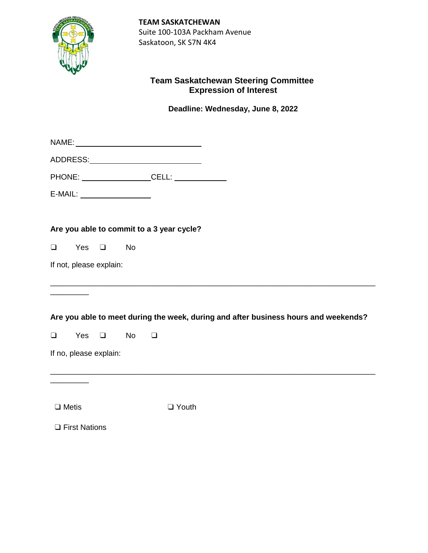

**TEAM SASKATCHEWAN** Suite 100-103A Packham Avenue Saskatoon, SK S7N 4K4

## **Team Saskatchewan Steering Committee Expression of Interest**

**Deadline: Wednesday, June 8, 2022**

| E-MAIL: ___________________ |                         |  |           |                                           |                                                                                     |
|-----------------------------|-------------------------|--|-----------|-------------------------------------------|-------------------------------------------------------------------------------------|
|                             |                         |  |           | Are you able to commit to a 3 year cycle? |                                                                                     |
| $\Box$                      | Yes $\Box$              |  | <b>No</b> |                                           |                                                                                     |
|                             | If not, please explain: |  |           |                                           |                                                                                     |
|                             |                         |  |           |                                           | Are you able to meet during the week, during and after business hours and weekends? |
| $\Box$                      | Yes $\Box$              |  | <b>No</b> | $\Box$                                    |                                                                                     |
|                             | If no, please explain:  |  |           |                                           |                                                                                     |
|                             |                         |  |           |                                           |                                                                                     |
| $\Box$ Metis                |                         |  |           | $\Box$ Youth                              |                                                                                     |
|                             | $\Box$ First Nations    |  |           |                                           |                                                                                     |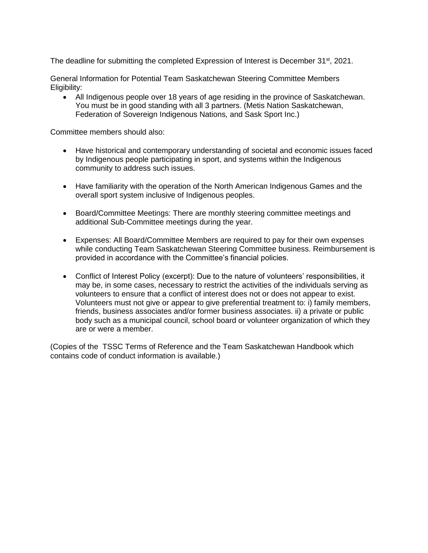The deadline for submitting the completed Expression of Interest is December 31<sup>st</sup>, 2021.

General Information for Potential Team Saskatchewan Steering Committee Members Eligibility:

 All Indigenous people over 18 years of age residing in the province of Saskatchewan. You must be in good standing with all 3 partners. (Metis Nation Saskatchewan, Federation of Sovereign Indigenous Nations, and Sask Sport Inc.)

Committee members should also:

- Have historical and contemporary understanding of societal and economic issues faced by Indigenous people participating in sport, and systems within the Indigenous community to address such issues.
- Have familiarity with the operation of the North American Indigenous Games and the overall sport system inclusive of Indigenous peoples.
- Board/Committee Meetings: There are monthly steering committee meetings and additional Sub-Committee meetings during the year.
- Expenses: All Board/Committee Members are required to pay for their own expenses while conducting Team Saskatchewan Steering Committee business. Reimbursement is provided in accordance with the Committee's financial policies.
- Conflict of Interest Policy (excerpt): Due to the nature of volunteers' responsibilities, it may be, in some cases, necessary to restrict the activities of the individuals serving as volunteers to ensure that a conflict of interest does not or does not appear to exist. Volunteers must not give or appear to give preferential treatment to: i) family members, friends, business associates and/or former business associates. ii) a private or public body such as a municipal council, school board or volunteer organization of which they are or were a member.

(Copies of the TSSC Terms of Reference and the Team Saskatchewan Handbook which contains code of conduct information is available.)